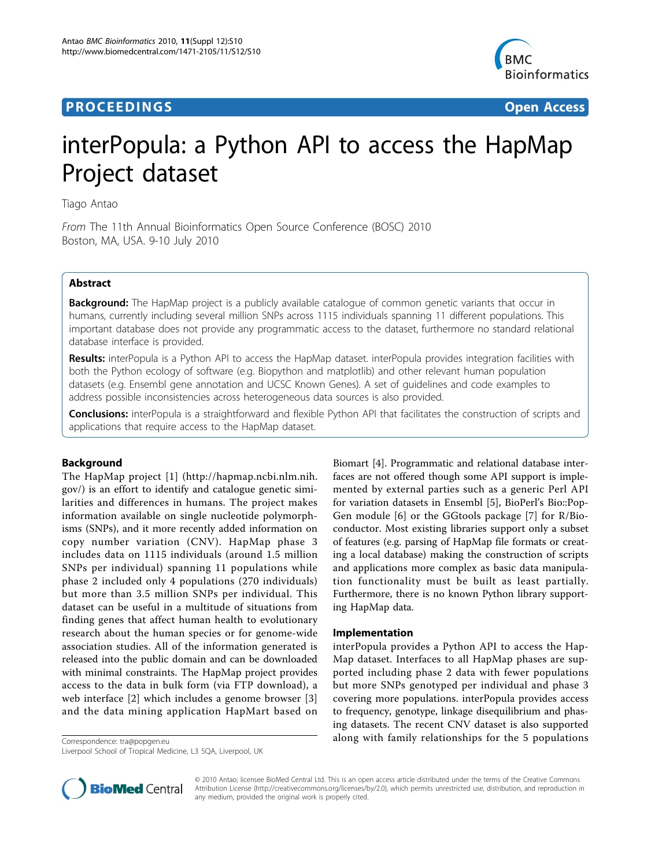# PROCEEDINGS **SHOPE EDING SECOND SECOND SECOND SECOND SECOND SECOND SECOND SECOND SECOND SECOND SECOND SECOND SECOND SECOND SECOND SECOND SECOND SECOND SECOND SECOND SECOND SECOND SECOND SECOND SECOND SECOND SECOND SECOND S**



# interPopula: a Python API to access the HapMap Project dataset

Tiago Antao

From The 11th Annual Bioinformatics Open Source Conference (BOSC) 2010 Boston, MA, USA. 9-10 July 2010

# Abstract

**Background:** The HapMap project is a publicly available catalogue of common genetic variants that occur in humans, currently including several million SNPs across 1115 individuals spanning 11 different populations. This important database does not provide any programmatic access to the dataset, furthermore no standard relational database interface is provided.

Results: interPopula is a Python API to access the HapMap dataset. interPopula provides integration facilities with both the Python ecology of software (e.g. Biopython and matplotlib) and other relevant human population datasets (e.g. Ensembl gene annotation and UCSC Known Genes). A set of guidelines and code examples to address possible inconsistencies across heterogeneous data sources is also provided.

**Conclusions:** interPopula is a straightforward and flexible Python API that facilitates the construction of scripts and applications that require access to the HapMap dataset.

# Background

The HapMap project [[1\]](#page-4-0) [\(http://hapmap.ncbi.nlm.nih.](http://hapmap.ncbi.nlm.nih.gov/) [gov/\)](http://hapmap.ncbi.nlm.nih.gov/) is an effort to identify and catalogue genetic similarities and differences in humans. The project makes information available on single nucleotide polymorphisms (SNPs), and it more recently added information on copy number variation (CNV). HapMap phase 3 includes data on 1115 individuals (around 1.5 million SNPs per individual) spanning 11 populations while phase 2 included only 4 populations (270 individuals) but more than 3.5 million SNPs per individual. This dataset can be useful in a multitude of situations from finding genes that affect human health to evolutionary research about the human species or for genome-wide association studies. All of the information generated is released into the public domain and can be downloaded with minimal constraints. The HapMap project provides access to the data in bulk form (via FTP download), a web interface [[2\]](#page-4-0) which includes a genome browser [\[3](#page-4-0)] and the data mining application HapMart based on

Biomart [[4\]](#page-4-0). Programmatic and relational database interfaces are not offered though some API support is implemented by external parties such as a generic Perl API for variation datasets in Ensembl [\[5](#page-4-0)], BioPerl's Bio::Pop-Gen module [[6](#page-4-0)] or the GGtools package [[7\]](#page-5-0) for R/Bioconductor. Most existing libraries support only a subset of features (e.g. parsing of HapMap file formats or creating a local database) making the construction of scripts and applications more complex as basic data manipulation functionality must be built as least partially. Furthermore, there is no known Python library supporting HapMap data.

# Implementation

interPopula provides a Python API to access the Hap-Map dataset. Interfaces to all HapMap phases are supported including phase 2 data with fewer populations but more SNPs genotyped per individual and phase 3 covering more populations. interPopula provides access to frequency, genotype, linkage disequilibrium and phasing datasets. The recent CNV dataset is also supported Correspondence: [tra@popgen.eu](mailto:tra@popgen.eu) **along with family relationships for the 5 populations** 

Liverpool School of Tropical Medicine, L3 5QA, Liverpool, UK



© 2010 Antao; licensee BioMed Central Ltd. This is an open access article distributed under the terms of the Creative Commons Attribution License [\(http://creativecommons.org/licenses/by/2.0](http://creativecommons.org/licenses/by/2.0)), which permits unrestricted use, distribution, and reproduction in any medium, provided the original work is properly cited.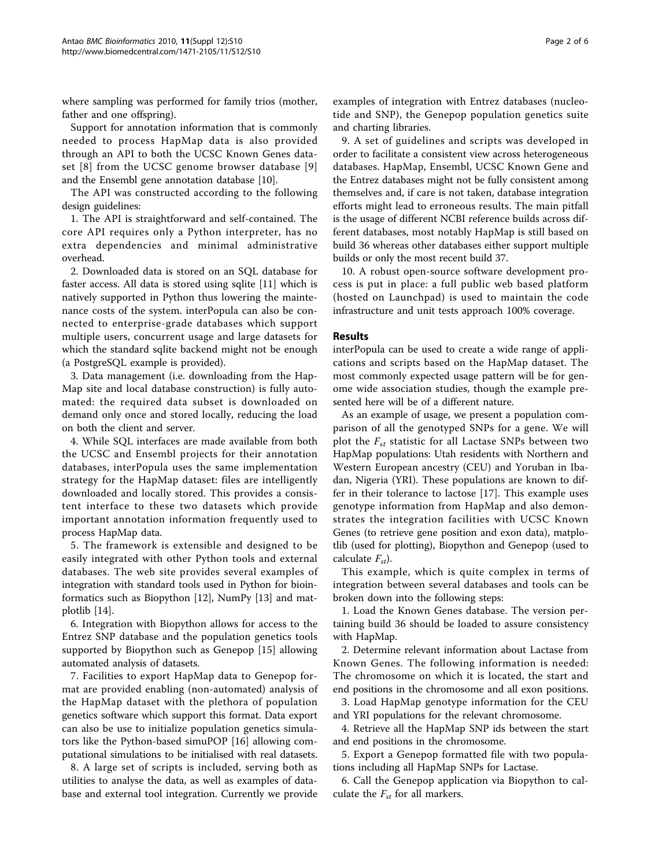where sampling was performed for family trios (mother, father and one offspring).

Support for annotation information that is commonly needed to process HapMap data is also provided through an API to both the UCSC Known Genes dataset [[8](#page-5-0)] from the UCSC genome browser database [[9](#page-5-0)] and the Ensembl gene annotation database [\[10](#page-5-0)].

The API was constructed according to the following design guidelines:

1. The API is straightforward and self-contained. The core API requires only a Python interpreter, has no extra dependencies and minimal administrative overhead.

2. Downloaded data is stored on an SQL database for faster access. All data is stored using sqlite [\[11\]](#page-5-0) which is natively supported in Python thus lowering the maintenance costs of the system. interPopula can also be connected to enterprise-grade databases which support multiple users, concurrent usage and large datasets for which the standard sqlite backend might not be enough (a PostgreSQL example is provided).

3. Data management (i.e. downloading from the Hap-Map site and local database construction) is fully automated: the required data subset is downloaded on demand only once and stored locally, reducing the load on both the client and server.

4. While SQL interfaces are made available from both the UCSC and Ensembl projects for their annotation databases, interPopula uses the same implementation strategy for the HapMap dataset: files are intelligently downloaded and locally stored. This provides a consistent interface to these two datasets which provide important annotation information frequently used to process HapMap data.

5. The framework is extensible and designed to be easily integrated with other Python tools and external databases. The web site provides several examples of integration with standard tools used in Python for bioinformatics such as Biopython [[12](#page-5-0)], NumPy [[13](#page-5-0)] and matplotlib [\[14\]](#page-5-0).

6. Integration with Biopython allows for access to the Entrez SNP database and the population genetics tools supported by Biopython such as Genepop [\[15](#page-5-0)] allowing automated analysis of datasets.

7. Facilities to export HapMap data to Genepop format are provided enabling (non-automated) analysis of the HapMap dataset with the plethora of population genetics software which support this format. Data export can also be use to initialize population genetics simulators like the Python-based simuPOP [[16\]](#page-5-0) allowing computational simulations to be initialised with real datasets.

8. A large set of scripts is included, serving both as utilities to analyse the data, as well as examples of database and external tool integration. Currently we provide examples of integration with Entrez databases (nucleotide and SNP), the Genepop population genetics suite and charting libraries.

9. A set of guidelines and scripts was developed in order to facilitate a consistent view across heterogeneous databases. HapMap, Ensembl, UCSC Known Gene and the Entrez databases might not be fully consistent among themselves and, if care is not taken, database integration efforts might lead to erroneous results. The main pitfall is the usage of different NCBI reference builds across different databases, most notably HapMap is still based on build 36 whereas other databases either support multiple builds or only the most recent build 37.

10. A robust open-source software development process is put in place: a full public web based platform (hosted on Launchpad) is used to maintain the code infrastructure and unit tests approach 100% coverage.

# Results

interPopula can be used to create a wide range of applications and scripts based on the HapMap dataset. The most commonly expected usage pattern will be for genome wide association studies, though the example presented here will be of a different nature.

As an example of usage, we present a population comparison of all the genotyped SNPs for a gene. We will plot the  $F_{st}$  statistic for all Lactase SNPs between two HapMap populations: Utah residents with Northern and Western European ancestry (CEU) and Yoruban in Ibadan, Nigeria (YRI). These populations are known to differ in their tolerance to lactose [\[17](#page-5-0)]. This example uses genotype information from HapMap and also demonstrates the integration facilities with UCSC Known Genes (to retrieve gene position and exon data), matplotlib (used for plotting), Biopython and Genepop (used to calculate  $F_{st}$ ).

This example, which is quite complex in terms of integration between several databases and tools can be broken down into the following steps:

1. Load the Known Genes database. The version pertaining build 36 should be loaded to assure consistency with HapMap.

2. Determine relevant information about Lactase from Known Genes. The following information is needed: The chromosome on which it is located, the start and end positions in the chromosome and all exon positions.

3. Load HapMap genotype information for the CEU and YRI populations for the relevant chromosome.

4. Retrieve all the HapMap SNP ids between the start and end positions in the chromosome.

5. Export a Genepop formatted file with two populations including all HapMap SNPs for Lactase.

6. Call the Genepop application via Biopython to calculate the  $F_{st}$  for all markers.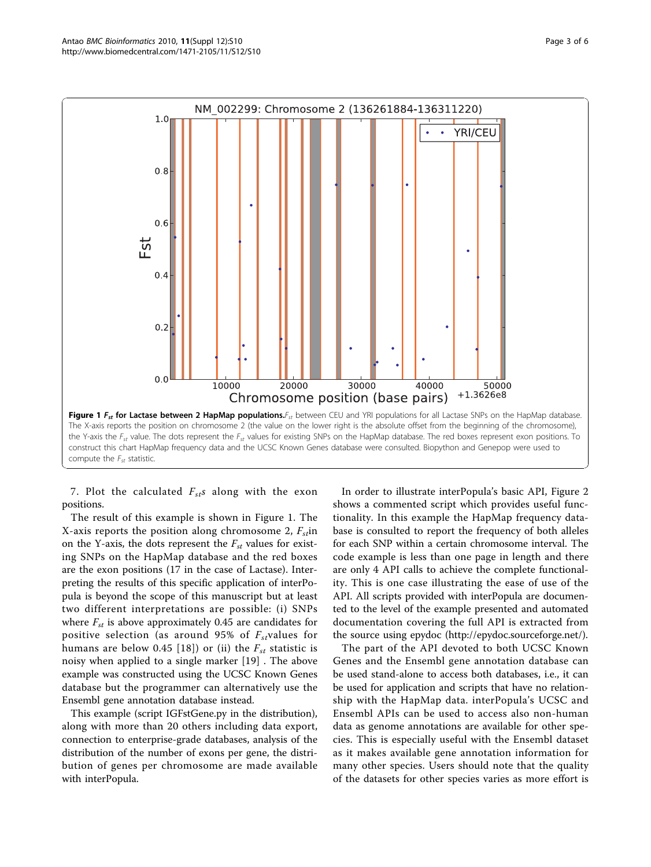

7. Plot the calculated  $F_{st}$ s along with the exon positions.

The result of this example is shown in Figure 1. The X-axis reports the position along chromosome 2,  $F_{st}$ in on the Y-axis, the dots represent the  $F_{st}$  values for existing SNPs on the HapMap database and the red boxes are the exon positions (17 in the case of Lactase). Interpreting the results of this specific application of interPopula is beyond the scope of this manuscript but at least two different interpretations are possible: (i) SNPs where  $F_{st}$  is above approximately 0.45 are candidates for positive selection (as around 95% of  $F_{st}$  values for humans are below 0.45 [[18](#page-5-0)]) or (ii) the  $F_{st}$  statistic is noisy when applied to a single marker [[19\]](#page-5-0) . The above example was constructed using the UCSC Known Genes database but the programmer can alternatively use the Ensembl gene annotation database instead.

This example (script IGFstGene.py in the distribution), along with more than 20 others including data export, connection to enterprise-grade databases, analysis of the distribution of the number of exons per gene, the distribution of genes per chromosome are made available with interPopula.

In order to illustrate interPopula's basic API, Figure [2](#page-3-0) shows a commented script which provides useful functionality. In this example the HapMap frequency database is consulted to report the frequency of both alleles for each SNP within a certain chromosome interval. The code example is less than one page in length and there are only 4 API calls to achieve the complete functionality. This is one case illustrating the ease of use of the API. All scripts provided with interPopula are documented to the level of the example presented and automated documentation covering the full API is extracted from the source using epydoc [\(http://epydoc.sourceforge.net/\)](http://epydoc.sourceforge.net/).

The part of the API devoted to both UCSC Known Genes and the Ensembl gene annotation database can be used stand-alone to access both databases, i.e., it can be used for application and scripts that have no relationship with the HapMap data. interPopula's UCSC and Ensembl APIs can be used to access also non-human data as genome annotations are available for other species. This is especially useful with the Ensembl dataset as it makes available gene annotation information for many other species. Users should note that the quality of the datasets for other species varies as more effort is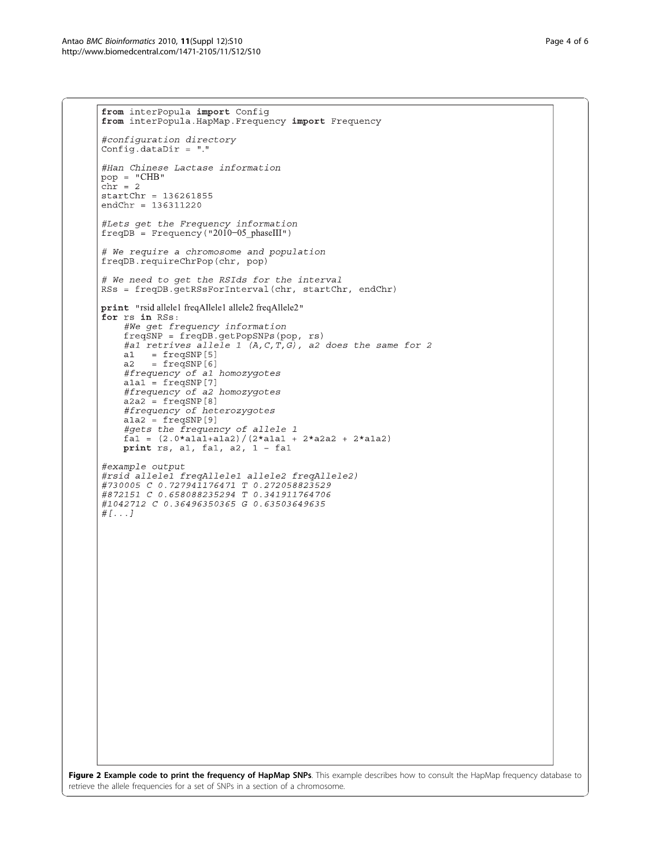```
from interPopula import Config
from interPopula. HapMap. Frequency import Frequency
#configuration directory
Config.dataDir = ".#Han Chinese Lactase information
pop = "CHB"\frac{P}{C} chr = 2
startChr = 136261855endChr = 136311220#Lets get the Frequency information<br>freqDB = Frequency("2010-05_phaseIII")
# We require a chromosome and population
freqDB.requireChrPop(chr, pop)
# We need to get the RSIds for the interval
RSs = freqDB.getRSsForInterval(chr, startChr, endChr)
print "rsid allele1 freqAllele1 allele2 freqAllele2"
for rs in RSs:
     #We get frequency information
     freqSNP = freqDB.getPopSNPs(pop, rs)<br>#al retrives allele 1 (A, C, T, G), a2 does the same for 2
     a1 = freqSNP[5]= freqSNP[6]
     a2#frequency of al homozygotes
     alal = freqSNP[7]<br>#frequency of a2 homozygotes
     a2a2 = \text{freqSNP[8]}#frequency of heterozygotes
     a1a2 = \text{freqSNP[9]}\frac{\text{Hgets the frequency of allele 1}}{\text{fall} = (2.0* \text{alal} + \text{alal})/(2* \text{alal} + 2* \text{alal} + 2* \text{alal})}print rs, al, fal, a2, 1 - \text{fal}#example output
#rsid allelel freqAllele1 allele2 freqAllele2)
#730005 C 0.727941176471 T 0.272058823529<br>#872151 C 0.658088235294 T 0.341911764706
#1042712 C 0.36496350365 G 0.63503649635
# [...]
```
Figure 2 Example code to print the frequency of HapMap SNPs. This example describes how to consult the HapMap frequency database to retrieve the allele frequencies for a set of SNPs in a section of a chromosome.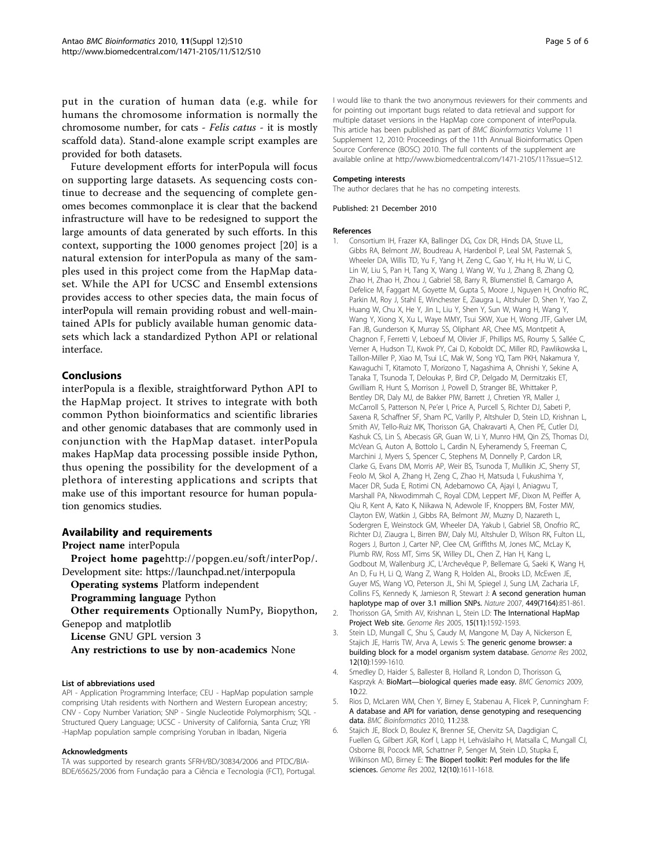<span id="page-4-0"></span>put in the curation of human data (e.g. while for humans the chromosome information is normally the chromosome number, for cats - Felis catus - it is mostly scaffold data). Stand-alone example script examples are provided for both datasets.

Future development efforts for interPopula will focus on supporting large datasets. As sequencing costs continue to decrease and the sequencing of complete genomes becomes commonplace it is clear that the backend infrastructure will have to be redesigned to support the large amounts of data generated by such efforts. In this context, supporting the 1000 genomes project [\[20](#page-5-0)] is a natural extension for interPopula as many of the samples used in this project come from the HapMap dataset. While the API for UCSC and Ensembl extensions provides access to other species data, the main focus of interPopula will remain providing robust and well-maintained APIs for publicly available human genomic datasets which lack a standardized Python API or relational interface.

# Conclusions

interPopula is a flexible, straightforward Python API to the HapMap project. It strives to integrate with both common Python bioinformatics and scientific libraries and other genomic databases that are commonly used in conjunction with the HapMap dataset. interPopula makes HapMap data processing possible inside Python, thus opening the possibility for the development of a plethora of interesting applications and scripts that make use of this important resource for human population genomics studies.

# Availability and requirements

Project name interPopula

Project home page<http://popgen.eu/soft/interPop/>. Development site:<https://launchpad.net/interpopula>

Operating systems Platform independent

Programming language Python

Other requirements Optionally NumPy, Biopython, Genepop and matplotlib

License GNU GPL version 3

Any restrictions to use by non-academics None

#### List of abbreviations used

API - Application Programming Interface; CEU - HapMap population sample comprising Utah residents with Northern and Western European ancestry; CNV - Copy Number Variation; SNP - Single Nucleotide Polymorphism; SQL - Structured Query Language; UCSC - University of California, Santa Cruz; YRI -HapMap population sample comprising Yoruban in Ibadan, Nigeria

#### Acknowledgments

TA was supported by research grants SFRH/BD/30834/2006 and PTDC/BIA-BDE/65625/2006 from Fundação para a Ciência e Tecnologia (FCT), Portugal. I would like to thank the two anonymous reviewers for their comments and for pointing out important bugs related to data retrieval and support for multiple dataset versions in the HapMap core component of interPopula. This article has been published as part of BMC Bioinformatics Volume 11 Supplement 12, 2010: Proceedings of the 11th Annual Bioinformatics Open Source Conference (BOSC) 2010. The full contents of the supplement are available online at [http://www.biomedcentral.com/1471-2105/11?issue=S12.](http://www.biomedcentral.com/1471-2105/11?issue=S12)

#### Competing interests

The author declares that he has no competing interests.

#### Published: 21 December 2010

#### References

- 1. Consortium IH, Frazer KA, Ballinger DG, Cox DR, Hinds DA, Stuve LL, Gibbs RA, Belmont JW, Boudreau A, Hardenbol P, Leal SM, Pasternak S, Wheeler DA, Willis TD, Yu F, Yang H, Zeng C, Gao Y, Hu H, Hu W, Li C, Lin W, Liu S, Pan H, Tang X, Wang J, Wang W, Yu J, Zhang B, Zhang Q, Zhao H, Zhao H, Zhou J, Gabriel SB, Barry R, Blumenstiel B, Camargo A, Defelice M, Faggart M, Goyette M, Gupta S, Moore J, Nguyen H, Onofrio RC, Parkin M, Roy J, Stahl E, Winchester E, Ziaugra L, Altshuler D, Shen Y, Yao Z, Huang W, Chu X, He Y, Jin L, Liu Y, Shen Y, Sun W, Wang H, Wang Y, Wang Y, Xiong X, Xu L, Waye MMY, Tsui SKW, Xue H, Wong JTF, Galver LM, Fan JB, Gunderson K, Murray SS, Oliphant AR, Chee MS, Montpetit A, Chagnon F, Ferretti V, Leboeuf M, Olivier JF, Phillips MS, Roumy S, Sallée C, Verner A, Hudson TJ, Kwok PY, Cai D, Koboldt DC, Miller RD, Pawlikowska L, Taillon-Miller P, Xiao M, Tsui LC, Mak W, Song YQ, Tam PKH, Nakamura Y, Kawaguchi T, Kitamoto T, Morizono T, Nagashima A, Ohnishi Y, Sekine A, Tanaka T, Tsunoda T, Deloukas P, Bird CP, Delgado M, Dermitzakis ET, Gwilliam R, Hunt S, Morrison J, Powell D, Stranger BE, Whittaker P, Bentley DR, Daly MJ, de Bakker PIW, Barrett J, Chretien YR, Maller J, McCarroll S, Patterson N, Pe'er I, Price A, Purcell S, Richter DJ, Sabeti P, Saxena R, Schaffner SF, Sham PC, Varilly P, Altshuler D, Stein LD, Krishnan L, Smith AV, Tello-Ruiz MK, Thorisson GA, Chakravarti A, Chen PE, Cutler DJ, Kashuk CS, Lin S, Abecasis GR, Guan W, Li Y, Munro HM, Qin ZS, Thomas DJ, McVean G, Auton A, Bottolo L, Cardin N, Eyheramendy S, Freeman C, Marchini J, Myers S, Spencer C, Stephens M, Donnelly P, Cardon LR, Clarke G, Evans DM, Morris AP, Weir BS, Tsunoda T, Mullikin JC, Sherry ST, Feolo M, Skol A, Zhang H, Zeng C, Zhao H, Matsuda I, Fukushima Y, Macer DR, Suda E, Rotimi CN, Adebamowo CA, Ajayi I, Aniagwu T, Marshall PA, Nkwodimmah C, Royal CDM, Leppert MF, Dixon M, Peiffer A, Qiu R, Kent A, Kato K, Niikawa N, Adewole IF, Knoppers BM, Foster MW, Clayton EW, Watkin J, Gibbs RA, Belmont JW, Muzny D, Nazareth L, Sodergren E, Weinstock GM, Wheeler DA, Yakub I, Gabriel SB, Onofrio RC, Richter DJ, Ziaugra L, Birren BW, Daly MJ, Altshuler D, Wilson RK, Fulton LL, Rogers J, Burton J, Carter NP, Clee CM, Griffiths M, Jones MC, McLay K, Plumb RW, Ross MT, Sims SK, Willey DL, Chen Z, Han H, Kang L, Godbout M, Wallenburg JC, L'Archevêque P, Bellemare G, Saeki K, Wang H, An D, Fu H, Li Q, Wang Z, Wang R, Holden AL, Brooks LD, McEwen JE, Guyer MS, Wang VO, Peterson JL, Shi M, Spiegel J, Sung LM, Zacharia LF, Collins FS, Kennedy K, Jamieson R, Stewart J: [A second generation human](http://www.ncbi.nlm.nih.gov/pubmed/17943122?dopt=Abstract) [haplotype map of over 3.1 million SNPs.](http://www.ncbi.nlm.nih.gov/pubmed/17943122?dopt=Abstract) Nature 2007, 449(7164):851-861. 2. Thorisson GA, Smith AV, Krishnan L, Stein LD: [The International HapMap](http://www.ncbi.nlm.nih.gov/pubmed/16251469?dopt=Abstract)
- [Project Web site.](http://www.ncbi.nlm.nih.gov/pubmed/16251469?dopt=Abstract) Genome Res 2005, 15(11):1592-1593.
- 3. Stein LD, Mungall C, Shu S, Caudy M, Mangone M, Day A, Nickerson E, Stajich JE, Harris TW, Arva A, Lewis S: [The generic genome browser: a](http://www.ncbi.nlm.nih.gov/pubmed/12368253?dopt=Abstract) [building block for a model organism system database.](http://www.ncbi.nlm.nih.gov/pubmed/12368253?dopt=Abstract) Genome Res 2002, 12(10):1599-1610.
- 4. Smedley D, Haider S, Ballester B, Holland R, London D, Thorisson G, Kasprzyk A: BioMart-[biological queries made easy.](http://www.ncbi.nlm.nih.gov/pubmed/19144180?dopt=Abstract) BMC Genomics 2009, 10:22.
- 5. Rios D, McLaren WM, Chen Y, Birney E, Stabenau A, Flicek P, Cunningham F: [A database and API for variation, dense genotyping and resequencing](http://www.ncbi.nlm.nih.gov/pubmed/20459810?dopt=Abstract) [data.](http://www.ncbi.nlm.nih.gov/pubmed/20459810?dopt=Abstract) BMC Bioinformatics 2010, 11:238.
- Stajich JE, Block D, Boulez K, Brenner SE, Chervitz SA, Dagdigian C, Fuellen G, Gilbert JGR, Korf I, Lapp H, Lehväslaiho H, Matsalla C, Mungall CJ, Osborne BI, Pocock MR, Schattner P, Senger M, Stein LD, Stupka E, Wilkinson MD, Birney E: [The Bioperl toolkit: Perl modules for the life](http://www.ncbi.nlm.nih.gov/pubmed/12368254?dopt=Abstract) [sciences.](http://www.ncbi.nlm.nih.gov/pubmed/12368254?dopt=Abstract) Genome Res 2002, 12(10):1611-1618.